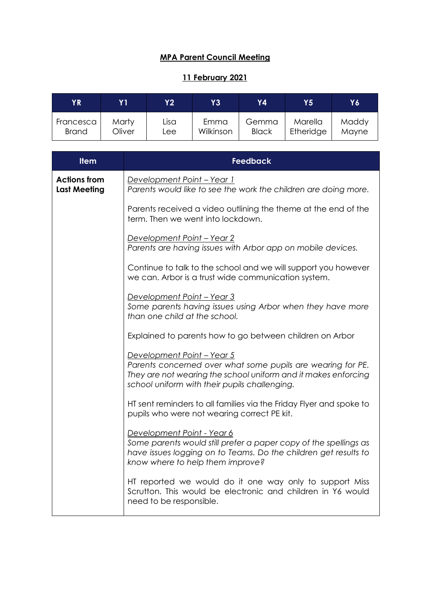## **MPA Parent Council Meeting**

## **11 February 2021**

| ΥR           | Y 1    | Y2   | Y3        | Y4'          | Y5'       | Y6    |
|--------------|--------|------|-----------|--------------|-----------|-------|
| Francesca    | Marty  | Lisa | Emma      | Gemma        | Marella   | Maddy |
| <b>Brand</b> | Oliver | Lee. | Wilkinson | <b>Black</b> | Etheridge | Mayne |

| <b>Item</b>                                | <b>Feedback</b>                                                                                                                                                                                              |  |  |  |
|--------------------------------------------|--------------------------------------------------------------------------------------------------------------------------------------------------------------------------------------------------------------|--|--|--|
| <b>Actions from</b><br><b>Last Meeting</b> | Development Point - Year 1<br>Parents would like to see the work the children are doing more.                                                                                                                |  |  |  |
|                                            | Parents received a video outlining the theme at the end of the<br>term. Then we went into lockdown.                                                                                                          |  |  |  |
|                                            | Development Point - Year 2<br>Parents are having issues with Arbor app on mobile devices.                                                                                                                    |  |  |  |
|                                            | Continue to talk to the school and we will support you however<br>we can. Arbor is a trust wide communication system.                                                                                        |  |  |  |
|                                            | Development Point - Year 3<br>Some parents having issues using Arbor when they have more<br>than one child at the school.                                                                                    |  |  |  |
|                                            | Explained to parents how to go between children on Arbor                                                                                                                                                     |  |  |  |
|                                            | Development Point - Year 5<br>Parents concerned over what some pupils are wearing for PE.<br>They are not wearing the school uniform and it makes enforcing<br>school uniform with their pupils challenging. |  |  |  |
|                                            | HT sent reminders to all families via the Friday Flyer and spoke to<br>pupils who were not wearing correct PE kit.                                                                                           |  |  |  |
|                                            | Development Point - Year 6<br>Some parents would still prefer a paper copy of the spellings as<br>have issues logging on to Teams. Do the children get results to<br>know where to help them improve?        |  |  |  |
|                                            | HT reported we would do it one way only to support Miss<br>Scrutton. This would be electronic and children in Y6 would<br>need to be responsible.                                                            |  |  |  |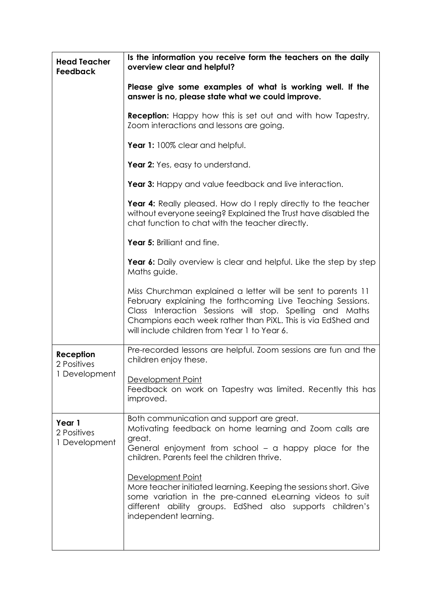| <b>Head Teacher</b><br>Feedback        | Is the information you receive form the teachers on the daily<br>overview clear and helpful?                                                                                                                                                                                                            |  |  |  |  |
|----------------------------------------|---------------------------------------------------------------------------------------------------------------------------------------------------------------------------------------------------------------------------------------------------------------------------------------------------------|--|--|--|--|
|                                        | Please give some examples of what is working well. If the<br>answer is no, please state what we could improve.                                                                                                                                                                                          |  |  |  |  |
|                                        | <b>Reception:</b> Happy how this is set out and with how Tapestry,<br>Zoom interactions and lessons are going.                                                                                                                                                                                          |  |  |  |  |
|                                        | Year 1: 100% clear and helpful.                                                                                                                                                                                                                                                                         |  |  |  |  |
|                                        | Year 2: Yes, easy to understand.                                                                                                                                                                                                                                                                        |  |  |  |  |
|                                        | Year 3: Happy and value feedback and live interaction.                                                                                                                                                                                                                                                  |  |  |  |  |
|                                        | Year 4: Really pleased. How do I reply directly to the teacher<br>without everyone seeing? Explained the Trust have disabled the<br>chat function to chat with the teacher directly.                                                                                                                    |  |  |  |  |
|                                        | Year 5: Brilliant and fine.                                                                                                                                                                                                                                                                             |  |  |  |  |
|                                        | Year 6: Daily overview is clear and helpful. Like the step by step<br>Maths guide.                                                                                                                                                                                                                      |  |  |  |  |
|                                        | Miss Churchman explained a letter will be sent to parents 11<br>February explaining the forthcoming Live Teaching Sessions.<br>Class Interaction Sessions will stop. Spelling and Maths<br>Champions each week rather than PiXL. This is via EdShed and<br>will include children from Year 1 to Year 6. |  |  |  |  |
| Reception<br>2 Positives               | Pre-recorded lessons are helpful. Zoom sessions are fun and the<br>children enjoy these.                                                                                                                                                                                                                |  |  |  |  |
| 1 Development                          | Development Point<br>Feedback on work on Tapestry was limited. Recently this has<br>improved.                                                                                                                                                                                                           |  |  |  |  |
| Year 1<br>2 Positives<br>1 Development | Both communication and support are great.<br>Motivating feedback on home learning and Zoom calls are<br>great.<br>General enjoyment from school - a happy place for the<br>children. Parents feel the children thrive.                                                                                  |  |  |  |  |
|                                        | Development Point<br>More teacher initiated learning. Keeping the sessions short. Give<br>some variation in the pre-canned eLearning videos to suit<br>different ability groups. EdShed also supports children's<br>independent learning.                                                               |  |  |  |  |
|                                        |                                                                                                                                                                                                                                                                                                         |  |  |  |  |